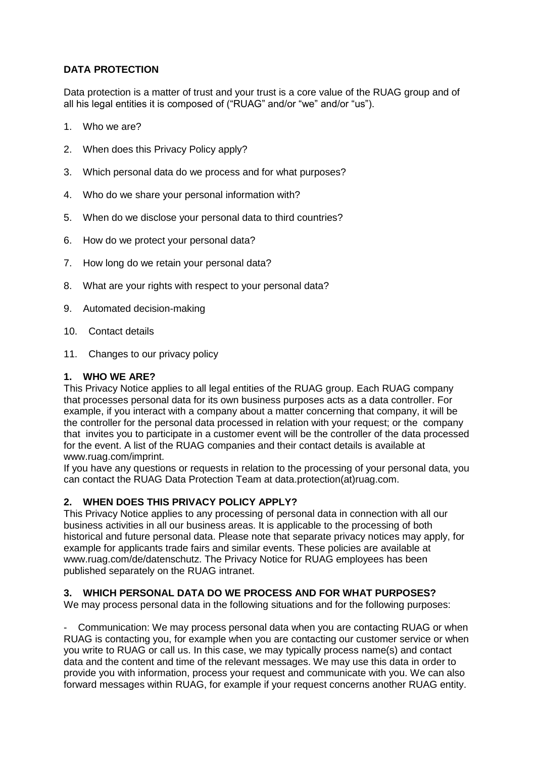# **DATA PROTECTION**

Data protection is a matter of trust and your trust is a core value of the RUAG group and of all his legal entities it is composed of ("RUAG" and/or "we" and/or "us").

- 1. Who we are?
- 2. When does this Privacy Policy apply?
- 3. Which personal data do we process and for what purposes?
- 4. Who do we share your personal information with?
- 5. When do we disclose your personal data to third countries?
- 6. How do we protect your personal data?
- 7. How long do we retain your personal data?
- 8. What are your rights with respect to your personal data?
- 9. Automated decision-making
- 10. Contact details
- 11. Changes to our privacy policy

### **1. WHO WE ARE?**

This Privacy Notice applies to all legal entities of the RUAG group. Each RUAG company that processes personal data for its own business purposes acts as a data controller. For example, if you interact with a company about a matter concerning that company, it will be the controller for the personal data processed in relation with your request; or the company that invites you to participate in a customer event will be the controller of the data processed for the event. A list of the RUAG companies and their contact details is available at www.ruag.com/imprint.

If you have any questions or requests in relation to the processing of your personal data, you can contact the RUAG Data Protection Team at data.protection(at)ruag.com.

## **2. WHEN DOES THIS PRIVACY POLICY APPLY?**

This Privacy Notice applies to any processing of personal data in connection with all our business activities in all our business areas. It is applicable to the processing of both historical and future personal data. Please note that separate privacy notices may apply, for example for applicants trade fairs and similar events. These policies are available at www.ruag.com/de/datenschutz. The Privacy Notice for RUAG employees has been published separately on the RUAG intranet.

## **3. WHICH PERSONAL DATA DO WE PROCESS AND FOR WHAT PURPOSES?**

We may process personal data in the following situations and for the following purposes:

- Communication: We may process personal data when you are contacting RUAG or when RUAG is contacting you, for example when you are contacting our customer service or when you write to RUAG or call us. In this case, we may typically process name(s) and contact data and the content and time of the relevant messages. We may use this data in order to provide you with information, process your request and communicate with you. We can also forward messages within RUAG, for example if your request concerns another RUAG entity.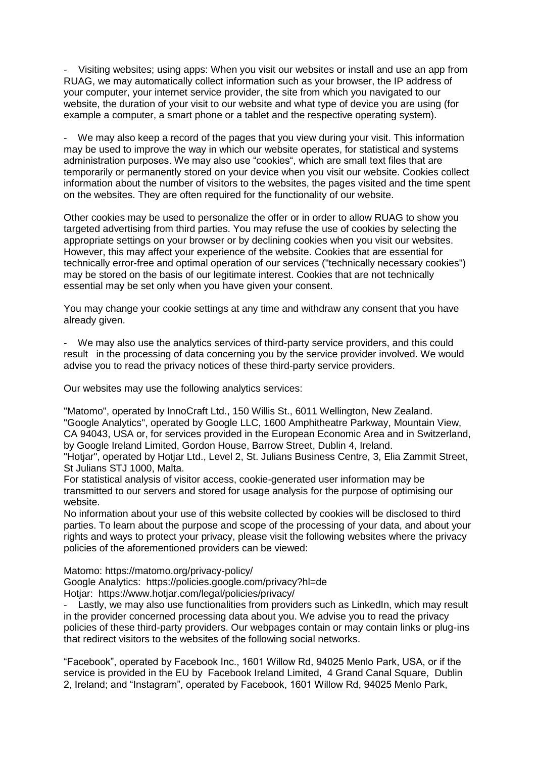Visiting websites; using apps: When you visit our websites or install and use an app from RUAG, we may automatically collect information such as your browser, the IP address of your computer, your internet service provider, the site from which you navigated to our website, the duration of your visit to our website and what type of device you are using (for example a computer, a smart phone or a tablet and the respective operating system).

We may also keep a record of the pages that you view during your visit. This information may be used to improve the way in which our website operates, for statistical and systems administration purposes. We may also use "cookies", which are small text files that are temporarily or permanently stored on your device when you visit our website. Cookies collect information about the number of visitors to the websites, the pages visited and the time spent on the websites. They are often required for the functionality of our website.

Other cookies may be used to personalize the offer or in order to allow RUAG to show you targeted advertising from third parties. You may refuse the use of cookies by selecting the appropriate settings on your browser or by declining cookies when you visit our websites. However, this may affect your experience of the website. Cookies that are essential for technically error-free and optimal operation of our services ("technically necessary cookies") may be stored on the basis of our legitimate interest. Cookies that are not technically essential may be set only when you have given your consent.

You may change your cookie settings at any time and withdraw any consent that you have already given.

We may also use the analytics services of third-party service providers, and this could result in the processing of data concerning you by the service provider involved. We would advise you to read the privacy notices of these third-party service providers.

Our websites may use the following analytics services:

"Matomo", operated by InnoCraft Ltd., 150 Willis St., 6011 Wellington, New Zealand. "Google Analytics", operated by Google LLC, 1600 Amphitheatre Parkway, Mountain View, CA 94043, USA or, for services provided in the European Economic Area and in Switzerland, by Google Ireland Limited, Gordon House, Barrow Street, Dublin 4, Ireland.

"Hotjar", operated by Hotjar Ltd., Level 2, St. Julians Business Centre, 3, Elia Zammit Street, St Julians STJ 1000, Malta.

For statistical analysis of visitor access, cookie-generated user information may be transmitted to our servers and stored for usage analysis for the purpose of optimising our website.

No information about your use of this website collected by cookies will be disclosed to third parties. To learn about the purpose and scope of the processing of your data, and about your rights and ways to protect your privacy, please visit the following websites where the privacy policies of the aforementioned providers can be viewed:

Matomo: https://matomo.org/privacy-policy/

Google Analytics: https://policies.google.com/privacy?hl=de Hotiar: https://www.hotiar.com/legal/policies/privacy/

Lastly, we may also use functionalities from providers such as LinkedIn, which may result in the provider concerned processing data about you. We advise you to read the privacy policies of these third-party providers. Our webpages contain or may contain links or plug-ins that redirect visitors to the websites of the following social networks.

"Facebook", operated by Facebook Inc., 1601 Willow Rd, 94025 Menlo Park, USA, or if the service is provided in the EU by Facebook Ireland Limited, 4 Grand Canal Square, Dublin 2, Ireland; and "Instagram", operated by Facebook, 1601 Willow Rd, 94025 Menlo Park,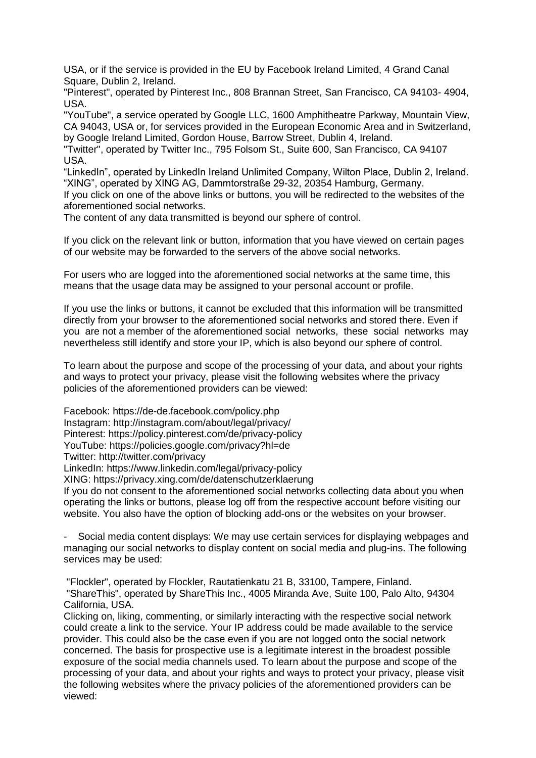USA, or if the service is provided in the EU by Facebook Ireland Limited, 4 Grand Canal Square, Dublin 2, Ireland.

"Pinterest", operated by Pinterest Inc., 808 Brannan Street, San Francisco, CA 94103- 4904, USA.

"YouTube", a service operated by Google LLC, 1600 Amphitheatre Parkway, Mountain View, CA 94043, USA or, for services provided in the European Economic Area and in Switzerland, by Google Ireland Limited, Gordon House, Barrow Street, Dublin 4, Ireland.

"Twitter", operated by Twitter Inc., 795 Folsom St., Suite 600, San Francisco, CA 94107 USA.

"LinkedIn", operated by LinkedIn Ireland Unlimited Company, Wilton Place, Dublin 2, Ireland. "XING", operated by XING AG, Dammtorstraße 29-32, 20354 Hamburg, Germany.

If you click on one of the above links or buttons, you will be redirected to the websites of the aforementioned social networks.

The content of any data transmitted is beyond our sphere of control.

If you click on the relevant link or button, information that you have viewed on certain pages of our website may be forwarded to the servers of the above social networks.

For users who are logged into the aforementioned social networks at the same time, this means that the usage data may be assigned to your personal account or profile.

If you use the links or buttons, it cannot be excluded that this information will be transmitted directly from your browser to the aforementioned social networks and stored there. Even if you are not a member of the aforementioned social networks, these social networks may nevertheless still identify and store your IP, which is also beyond our sphere of control.

To learn about the purpose and scope of the processing of your data, and about your rights and ways to protect your privacy, please visit the following websites where the privacy policies of the aforementioned providers can be viewed:

Facebook: https://de-de.facebook.com/policy.php Instagram: http://instagram.com/about/legal/privacy/ Pinterest: https://policy.pinterest.com/de/privacy-policy YouTube: https://policies.google.com/privacy?hl=de Twitter: http://twitter.com/privacy

LinkedIn: https://www.linkedin.com/legal/privacy-policy

XING: https://privacy.xing.com/de/datenschutzerklaerung

If you do not consent to the aforementioned social networks collecting data about you when operating the links or buttons, please log off from the respective account before visiting our website. You also have the option of blocking add-ons or the websites on your browser.

Social media content displays: We may use certain services for displaying webpages and managing our social networks to display content on social media and plug-ins. The following services may be used:

"Flockler", operated by Flockler, Rautatienkatu 21 B, 33100, Tampere, Finland. "ShareThis", operated by ShareThis Inc., 4005 Miranda Ave, Suite 100, Palo Alto, 94304 California, USA.

Clicking on, liking, commenting, or similarly interacting with the respective social network could create a link to the service. Your IP address could be made available to the service provider. This could also be the case even if you are not logged onto the social network concerned. The basis for prospective use is a legitimate interest in the broadest possible exposure of the social media channels used. To learn about the purpose and scope of the processing of your data, and about your rights and ways to protect your privacy, please visit the following websites where the privacy policies of the aforementioned providers can be viewed: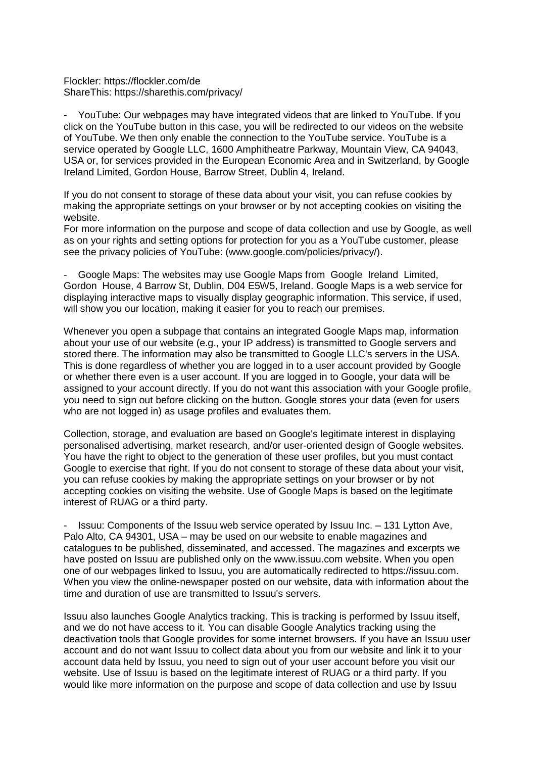#### Flockler: https://flockler.com/de ShareThis: https://sharethis.com/privacy/

- YouTube: Our webpages may have integrated videos that are linked to YouTube. If you click on the YouTube button in this case, you will be redirected to our videos on the website of YouTube. We then only enable the connection to the YouTube service. YouTube is a service operated by Google LLC, 1600 Amphitheatre Parkway, Mountain View, CA 94043, USA or, for services provided in the European Economic Area and in Switzerland, by Google Ireland Limited, Gordon House, Barrow Street, Dublin 4, Ireland.

If you do not consent to storage of these data about your visit, you can refuse cookies by making the appropriate settings on your browser or by not accepting cookies on visiting the website.

For more information on the purpose and scope of data collection and use by Google, as well as on your rights and setting options for protection for you as a YouTube customer, please see the privacy policies of YouTube: (www.google.com/policies/privacy/).

- Google Maps: The websites may use Google Maps from Google Ireland Limited, Gordon House, 4 Barrow St, Dublin, D04 E5W5, Ireland. Google Maps is a web service for displaying interactive maps to visually display geographic information. This service, if used, will show you our location, making it easier for you to reach our premises.

Whenever you open a subpage that contains an integrated Google Maps map, information about your use of our website (e.g., your IP address) is transmitted to Google servers and stored there. The information may also be transmitted to Google LLC's servers in the USA. This is done regardless of whether you are logged in to a user account provided by Google or whether there even is a user account. If you are logged in to Google, your data will be assigned to your account directly. If you do not want this association with your Google profile, you need to sign out before clicking on the button. Google stores your data (even for users who are not logged in) as usage profiles and evaluates them.

Collection, storage, and evaluation are based on Google's legitimate interest in displaying personalised advertising, market research, and/or user-oriented design of Google websites. You have the right to object to the generation of these user profiles, but you must contact Google to exercise that right. If you do not consent to storage of these data about your visit, you can refuse cookies by making the appropriate settings on your browser or by not accepting cookies on visiting the website. Use of Google Maps is based on the legitimate interest of RUAG or a third party.

- Issuu: Components of the Issuu web service operated by Issuu Inc. – 131 Lytton Ave, Palo Alto, CA 94301, USA – may be used on our website to enable magazines and catalogues to be published, disseminated, and accessed. The magazines and excerpts we have posted on Issuu are published only on the www.issuu.com website. When you open one of our webpages linked to Issuu, you are automatically redirected to https://issuu.com. When you view the online-newspaper posted on our website, data with information about the time and duration of use are transmitted to Issuu's servers.

Issuu also launches Google Analytics tracking. This is tracking is performed by Issuu itself, and we do not have access to it. You can disable Google Analytics tracking using the deactivation tools that Google provides for some internet browsers. If you have an Issuu user account and do not want Issuu to collect data about you from our website and link it to your account data held by Issuu, you need to sign out of your user account before you visit our website. Use of Issuu is based on the legitimate interest of RUAG or a third party. If you would like more information on the purpose and scope of data collection and use by Issuu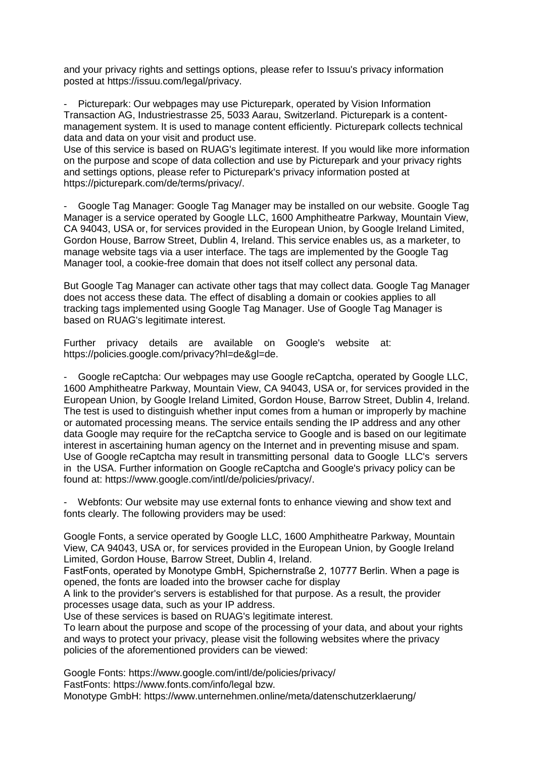and your privacy rights and settings options, please refer to Issuu's privacy information posted at https://issuu.com/legal/privacy.

Picturepark: Our webpages may use Picturepark, operated by Vision Information Transaction AG, Industriestrasse 25, 5033 Aarau, Switzerland. Picturepark is a contentmanagement system. It is used to manage content efficiently. Picturepark collects technical data and data on your visit and product use.

Use of this service is based on RUAG's legitimate interest. If you would like more information on the purpose and scope of data collection and use by Picturepark and your privacy rights and settings options, please refer to Picturepark's privacy information posted at https://picturepark.com/de/terms/privacy/.

- Google Tag Manager: Google Tag Manager may be installed on our website. Google Tag Manager is a service operated by Google LLC, 1600 Amphitheatre Parkway, Mountain View, CA 94043, USA or, for services provided in the European Union, by Google Ireland Limited, Gordon House, Barrow Street, Dublin 4, Ireland. This service enables us, as a marketer, to manage website tags via a user interface. The tags are implemented by the Google Tag Manager tool, a cookie-free domain that does not itself collect any personal data.

But Google Tag Manager can activate other tags that may collect data. Google Tag Manager does not access these data. The effect of disabling a domain or cookies applies to all tracking tags implemented using Google Tag Manager. Use of Google Tag Manager is based on RUAG's legitimate interest.

Further privacy details are available on Google's website at: https://policies.google.com/privacy?hl=de&gl=de.

- Google reCaptcha: Our webpages may use Google reCaptcha, operated by Google LLC, 1600 Amphitheatre Parkway, Mountain View, CA 94043, USA or, for services provided in the European Union, by Google Ireland Limited, Gordon House, Barrow Street, Dublin 4, Ireland. The test is used to distinguish whether input comes from a human or improperly by machine or automated processing means. The service entails sending the IP address and any other data Google may require for the reCaptcha service to Google and is based on our legitimate interest in ascertaining human agency on the Internet and in preventing misuse and spam. Use of Google reCaptcha may result in transmitting personal data to Google LLC's servers in the USA. Further information on Google reCaptcha and Google's privacy policy can be found at: https://www.google.com/intl/de/policies/privacy/.

- Webfonts: Our website may use external fonts to enhance viewing and show text and fonts clearly. The following providers may be used:

Google Fonts, a service operated by Google LLC, 1600 Amphitheatre Parkway, Mountain View, CA 94043, USA or, for services provided in the European Union, by Google Ireland Limited, Gordon House, Barrow Street, Dublin 4, Ireland.

FastFonts, operated by Monotype GmbH, Spichernstraße 2, 10777 Berlin. When a page is opened, the fonts are loaded into the browser cache for display

A link to the provider's servers is established for that purpose. As a result, the provider processes usage data, such as your IP address.

Use of these services is based on RUAG's legitimate interest.

To learn about the purpose and scope of the processing of your data, and about your rights and ways to protect your privacy, please visit the following websites where the privacy policies of the aforementioned providers can be viewed:

Google Fonts: https://www.google.com/intl/de/policies/privacy/

FastFonts: https://www.fonts.com/info/legal bzw.

Monotype GmbH: https://www.unternehmen.online/meta/datenschutzerklaerung/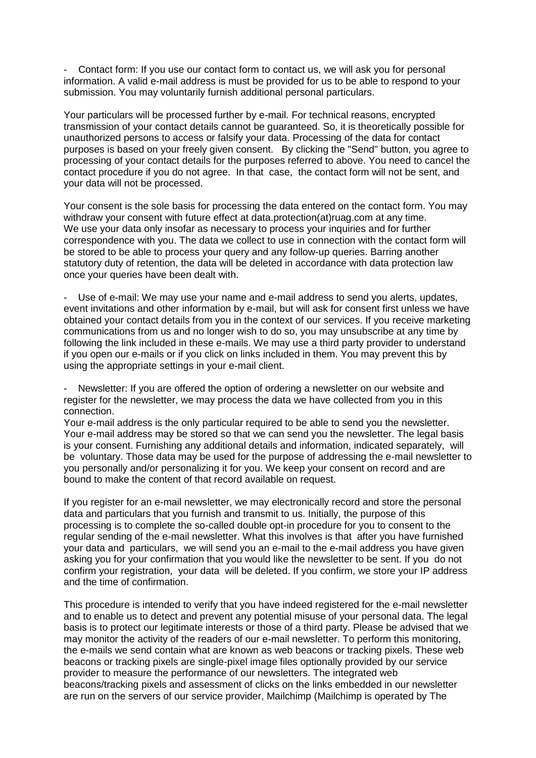Contact form: If you use our contact form to contact us, we will ask you for personal information. A valid e-mail address is must be provided for us to be able to respond to your submission. You may voluntarily furnish additional personal particulars.

Your particulars will be processed further by e-mail. For technical reasons, encrypted transmission of your contact details cannot be guaranteed. So, it is theoretically possible for unauthorized persons to access or falsify your data. Processing of the data for contact purposes is based on your freely given consent. By clicking the "Send" button, you agree to processing of your contact details for the purposes referred to above. You need to cancel the contact procedure if you do not agree. In that case, the contact form will not be sent, and your data will not be processed.

Your consent is the sole basis for processing the data entered on the contact form. You may withdraw your consent with future effect at data.protection(at)ruag.com at any time. We use your data only insofar as necessary to process your inquiries and for further correspondence with you. The data we collect to use in connection with the contact form will be stored to be able to process your query and any follow-up queries. Barring another statutory duty of retention, the data will be deleted in accordance with data protection law once your queries have been dealt with.

Use of e-mail: We may use your name and e-mail address to send you alerts, updates, event invitations and other information by e-mail, but will ask for consent first unless we have obtained your contact details from you in the context of our services. If you receive marketing communications from us and no longer wish to do so, you may unsubscribe at any time by following the link included in these e-mails. We may use a third party provider to understand if you open our e-mails or if you click on links included in them. You may prevent this by using the appropriate settings in your e-mail client.

Newsletter: If you are offered the option of ordering a newsletter on our website and register for the newsletter, we may process the data we have collected from you in this connection.

Your e-mail address is the only particular required to be able to send you the newsletter. Your e-mail address may be stored so that we can send you the newsletter. The legal basis is your consent. Furnishing any additional details and information, indicated separately, will be voluntary. Those data may be used for the purpose of addressing the e-mail newsletter to you personally and/or personalizing it for you. We keep your consent on record and are bound to make the content of that record available on request.

If you register for an e-mail newsletter, we may electronically record and store the personal data and particulars that you furnish and transmit to us. Initially, the purpose of this processing is to complete the so-called double opt-in procedure for you to consent to the regular sending of the e-mail newsletter. What this involves is that after you have furnished your data and particulars, we will send you an e-mail to the e-mail address you have given asking you for your confirmation that you would like the newsletter to be sent. If you do not confirm your registration, your data will be deleted. If you confirm, we store your IP address and the time of confirmation.

This procedure is intended to verify that you have indeed registered for the e-mail newsletter and to enable us to detect and prevent any potential misuse of your personal data. The legal basis is to protect our legitimate interests or those of a third party. Please be advised that we may monitor the activity of the readers of our e-mail newsletter. To perform this monitoring, the e-mails we send contain what are known as web beacons or tracking pixels. These web beacons or tracking pixels are single-pixel image files optionally provided by our service provider to measure the performance of our newsletters. The integrated web beacons/tracking pixels and assessment of clicks on the links embedded in our newsletter are run on the servers of our service provider, Mailchimp (Mailchimp is operated by The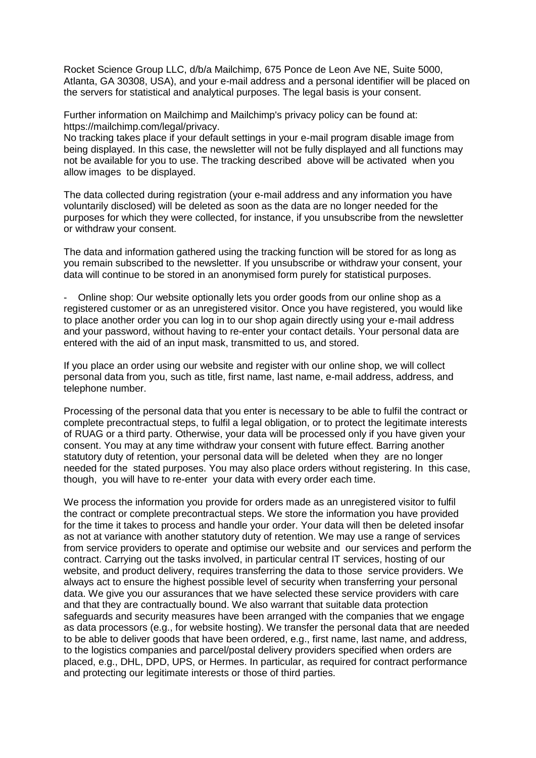Rocket Science Group LLC, d/b/a Mailchimp, 675 Ponce de Leon Ave NE, Suite 5000, Atlanta, GA 30308, USA), and your e-mail address and a personal identifier will be placed on the servers for statistical and analytical purposes. The legal basis is your consent.

Further information on Mailchimp and Mailchimp's privacy policy can be found at: https://mailchimp.com/legal/privacy.

No tracking takes place if your default settings in your e-mail program disable image from being displayed. In this case, the newsletter will not be fully displayed and all functions may not be available for you to use. The tracking described above will be activated when you allow images to be displayed.

The data collected during registration (your e-mail address and any information you have voluntarily disclosed) will be deleted as soon as the data are no longer needed for the purposes for which they were collected, for instance, if you unsubscribe from the newsletter or withdraw your consent.

The data and information gathered using the tracking function will be stored for as long as you remain subscribed to the newsletter. If you unsubscribe or withdraw your consent, your data will continue to be stored in an anonymised form purely for statistical purposes.

- Online shop: Our website optionally lets you order goods from our online shop as a registered customer or as an unregistered visitor. Once you have registered, you would like to place another order you can log in to our shop again directly using your e-mail address and your password, without having to re-enter your contact details. Your personal data are entered with the aid of an input mask, transmitted to us, and stored.

If you place an order using our website and register with our online shop, we will collect personal data from you, such as title, first name, last name, e-mail address, address, and telephone number.

Processing of the personal data that you enter is necessary to be able to fulfil the contract or complete precontractual steps, to fulfil a legal obligation, or to protect the legitimate interests of RUAG or a third party. Otherwise, your data will be processed only if you have given your consent. You may at any time withdraw your consent with future effect. Barring another statutory duty of retention, your personal data will be deleted when they are no longer needed for the stated purposes. You may also place orders without registering. In this case, though, you will have to re-enter your data with every order each time.

We process the information you provide for orders made as an unregistered visitor to fulfil the contract or complete precontractual steps. We store the information you have provided for the time it takes to process and handle your order. Your data will then be deleted insofar as not at variance with another statutory duty of retention. We may use a range of services from service providers to operate and optimise our website and our services and perform the contract. Carrying out the tasks involved, in particular central IT services, hosting of our website, and product delivery, requires transferring the data to those service providers. We always act to ensure the highest possible level of security when transferring your personal data. We give you our assurances that we have selected these service providers with care and that they are contractually bound. We also warrant that suitable data protection safeguards and security measures have been arranged with the companies that we engage as data processors (e.g., for website hosting). We transfer the personal data that are needed to be able to deliver goods that have been ordered, e.g., first name, last name, and address, to the logistics companies and parcel/postal delivery providers specified when orders are placed, e.g., DHL, DPD, UPS, or Hermes. In particular, as required for contract performance and protecting our legitimate interests or those of third parties.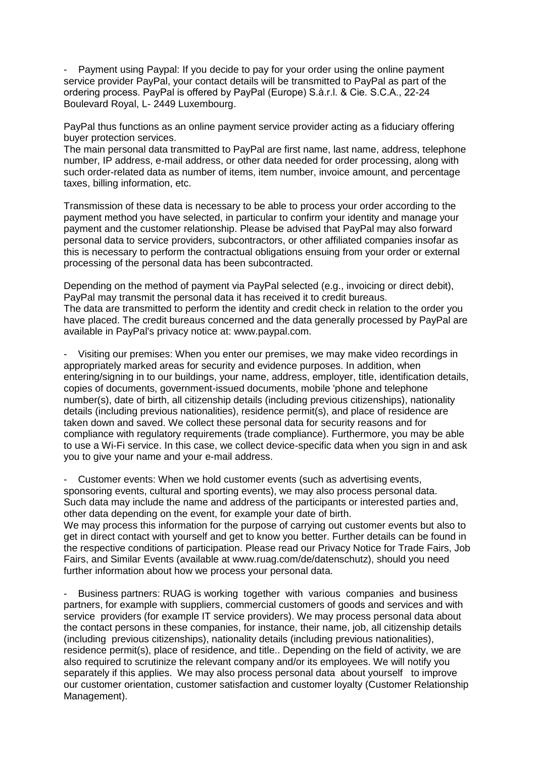Payment using Paypal: If you decide to pay for your order using the online payment service provider PayPal, your contact details will be transmitted to PayPal as part of the ordering process. PayPal is offered by PayPal (Europe) S.à.r.l. & Cie. S.C.A., 22-24 Boulevard Royal, L- 2449 Luxembourg.

PayPal thus functions as an online payment service provider acting as a fiduciary offering buyer protection services.

The main personal data transmitted to PayPal are first name, last name, address, telephone number, IP address, e-mail address, or other data needed for order processing, along with such order-related data as number of items, item number, invoice amount, and percentage taxes, billing information, etc.

Transmission of these data is necessary to be able to process your order according to the payment method you have selected, in particular to confirm your identity and manage your payment and the customer relationship. Please be advised that PayPal may also forward personal data to service providers, subcontractors, or other affiliated companies insofar as this is necessary to perform the contractual obligations ensuing from your order or external processing of the personal data has been subcontracted.

Depending on the method of payment via PayPal selected (e.g., invoicing or direct debit), PayPal may transmit the personal data it has received it to credit bureaus. The data are transmitted to perform the identity and credit check in relation to the order you have placed. The credit bureaus concerned and the data generally processed by PayPal are available in PayPal's privacy notice at: www.paypal.com.

Visiting our premises: When you enter our premises, we may make video recordings in appropriately marked areas for security and evidence purposes. In addition, when entering/signing in to our buildings, your name, address, employer, title, identification details, copies of documents, government-issued documents, mobile 'phone and telephone number(s), date of birth, all citizenship details (including previous citizenships), nationality details (including previous nationalities), residence permit(s), and place of residence are taken down and saved. We collect these personal data for security reasons and for compliance with regulatory requirements (trade compliance). Furthermore, you may be able to use a Wi-Fi service. In this case, we collect device-specific data when you sign in and ask you to give your name and your e-mail address.

Customer events: When we hold customer events (such as advertising events, sponsoring events, cultural and sporting events), we may also process personal data. Such data may include the name and address of the participants or interested parties and, other data depending on the event, for example your date of birth.

We may process this information for the purpose of carrying out customer events but also to get in direct contact with yourself and get to know you better. Further details can be found in the respective conditions of participation. Please read our Privacy Notice for Trade Fairs, Job Fairs, and Similar Events (available at www.ruag.com/de/datenschutz), should you need further information about how we process your personal data.

- Business partners: RUAG is working together with various companies and business partners, for example with suppliers, commercial customers of goods and services and with service providers (for example IT service providers). We may process personal data about the contact persons in these companies, for instance, their name, job, all citizenship details (including previous citizenships), nationality details (including previous nationalities), residence permit(s), place of residence, and title.. Depending on the field of activity, we are also required to scrutinize the relevant company and/or its employees. We will notify you separately if this applies. We may also process personal data about yourself to improve our customer orientation, customer satisfaction and customer loyalty (Customer Relationship Management).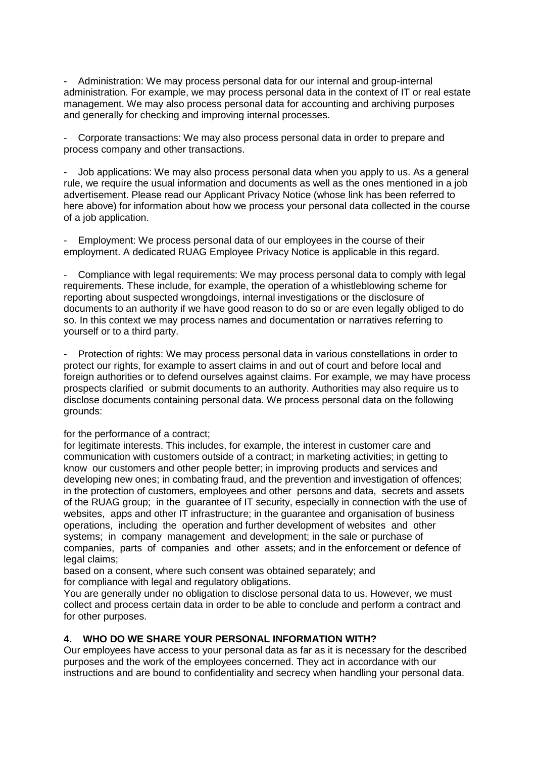- Administration: We may process personal data for our internal and group-internal administration. For example, we may process personal data in the context of IT or real estate management. We may also process personal data for accounting and archiving purposes and generally for checking and improving internal processes.

- Corporate transactions: We may also process personal data in order to prepare and process company and other transactions.

Job applications: We may also process personal data when you apply to us. As a general rule, we require the usual information and documents as well as the ones mentioned in a job advertisement. Please read our Applicant Privacy Notice (whose link has been referred to here above) for information about how we process your personal data collected in the course of a job application.

- Employment: We process personal data of our employees in the course of their employment. A dedicated RUAG Employee Privacy Notice is applicable in this regard.

Compliance with legal requirements: We may process personal data to comply with legal requirements. These include, for example, the operation of a whistleblowing scheme for reporting about suspected wrongdoings, internal investigations or the disclosure of documents to an authority if we have good reason to do so or are even legally obliged to do so. In this context we may process names and documentation or narratives referring to yourself or to a third party.

Protection of rights: We may process personal data in various constellations in order to protect our rights, for example to assert claims in and out of court and before local and foreign authorities or to defend ourselves against claims. For example, we may have process prospects clarified or submit documents to an authority. Authorities may also require us to disclose documents containing personal data. We process personal data on the following grounds:

#### for the performance of a contract;

for legitimate interests. This includes, for example, the interest in customer care and communication with customers outside of a contract; in marketing activities; in getting to know our customers and other people better; in improving products and services and developing new ones; in combating fraud, and the prevention and investigation of offences; in the protection of customers, employees and other persons and data, secrets and assets of the RUAG group; in the guarantee of IT security, especially in connection with the use of websites, apps and other IT infrastructure; in the guarantee and organisation of business operations, including the operation and further development of websites and other systems; in company management and development; in the sale or purchase of companies, parts of companies and other assets; and in the enforcement or defence of legal claims;

based on a consent, where such consent was obtained separately; and for compliance with legal and regulatory obligations.

You are generally under no obligation to disclose personal data to us. However, we must collect and process certain data in order to be able to conclude and perform a contract and for other purposes.

### **4. WHO DO WE SHARE YOUR PERSONAL INFORMATION WITH?**

Our employees have access to your personal data as far as it is necessary for the described purposes and the work of the employees concerned. They act in accordance with our instructions and are bound to confidentiality and secrecy when handling your personal data.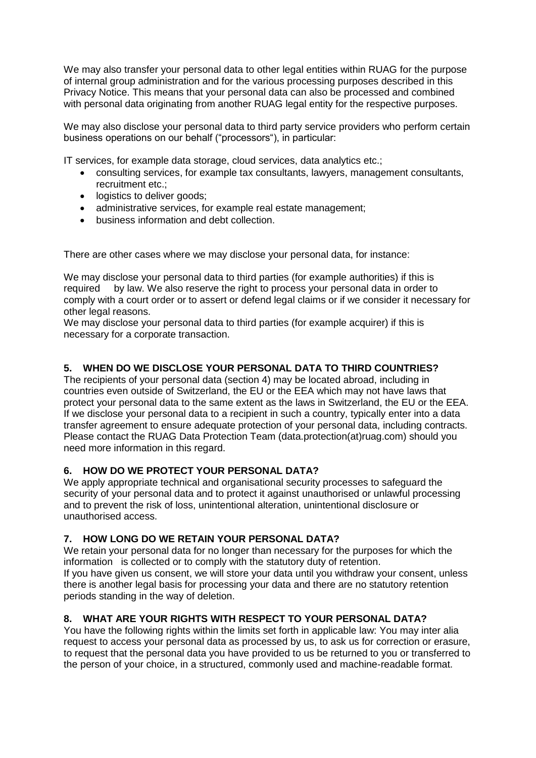We may also transfer your personal data to other legal entities within RUAG for the purpose of internal group administration and for the various processing purposes described in this Privacy Notice. This means that your personal data can also be processed and combined with personal data originating from another RUAG legal entity for the respective purposes.

We may also disclose your personal data to third party service providers who perform certain business operations on our behalf ("processors"), in particular:

IT services, for example data storage, cloud services, data analytics etc.;

- consulting services, for example tax consultants, lawyers, management consultants, recruitment etc.;
- logistics to deliver goods;
- administrative services, for example real estate management;
- business information and debt collection.

There are other cases where we may disclose your personal data, for instance:

We may disclose your personal data to third parties (for example authorities) if this is required by law. We also reserve the right to process your personal data in order to comply with a court order or to assert or defend legal claims or if we consider it necessary for other legal reasons.

We may disclose your personal data to third parties (for example acquirer) if this is necessary for a corporate transaction.

### **5. WHEN DO WE DISCLOSE YOUR PERSONAL DATA TO THIRD COUNTRIES?**

The recipients of your personal data (section 4) may be located abroad, including in countries even outside of Switzerland, the EU or the EEA which may not have laws that protect your personal data to the same extent as the laws in Switzerland, the EU or the EEA. If we disclose your personal data to a recipient in such a country, typically enter into a data transfer agreement to ensure adequate protection of your personal data, including contracts. Please contact the RUAG Data Protection Team (data.protection(at)ruag.com) should you need more information in this regard.

### **6. HOW DO WE PROTECT YOUR PERSONAL DATA?**

We apply appropriate technical and organisational security processes to safeguard the security of your personal data and to protect it against unauthorised or unlawful processing and to prevent the risk of loss, unintentional alteration, unintentional disclosure or unauthorised access.

### **7. HOW LONG DO WE RETAIN YOUR PERSONAL DATA?**

We retain your personal data for no longer than necessary for the purposes for which the information is collected or to comply with the statutory duty of retention. If you have given us consent, we will store your data until you withdraw your consent, unless there is another legal basis for processing your data and there are no statutory retention periods standing in the way of deletion.

### **8. WHAT ARE YOUR RIGHTS WITH RESPECT TO YOUR PERSONAL DATA?**

You have the following rights within the limits set forth in applicable law: You may inter alia request to access your personal data as processed by us, to ask us for correction or erasure, to request that the personal data you have provided to us be returned to you or transferred to the person of your choice, in a structured, commonly used and machine-readable format.